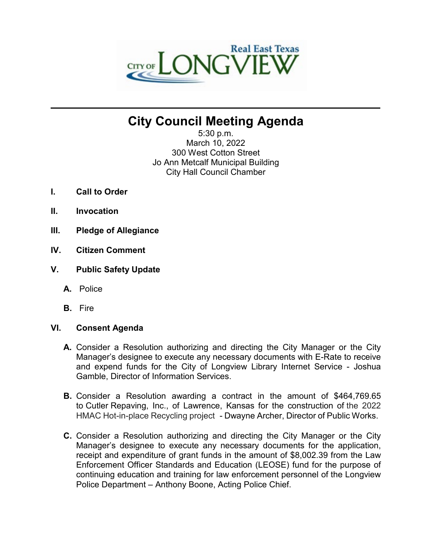

# **City Council Meeting Agenda**

**\_\_\_\_\_\_\_\_\_\_\_\_\_\_\_\_\_\_\_\_\_\_\_\_\_\_\_\_\_\_\_\_\_\_\_\_\_\_\_\_\_\_\_\_\_\_\_\_\_\_\_\_\_\_\_\_\_\_\_\_\_\_\_\_\_\_\_\_\_\_**

5:30 p.m. March 10, 2022 300 West Cotton Street Jo Ann Metcalf Municipal Building City Hall Council Chamber

- **I. Call to Order**
- **II. Invocation**
- **III. Pledge of Allegiance**
- **IV. Citizen Comment**
- **V. Public Safety Update**
	- **A.** Police
	- **B.** Fire

## **VI. Consent Agenda**

- **A.** Consider a Resolution authorizing and directing the City Manager or the City Manager's designee to execute any necessary documents with E-Rate to receive and expend funds for the City of Longview Library Internet Service - Joshua Gamble, Director of Information Services.
- **B.** Consider a Resolution awarding a contract in the amount of \$464,769.65 to Cutler Repaving, Inc., of Lawrence, Kansas for the construction of the 2022 HMAC Hot-in-place Recycling project - Dwayne Archer, Director of Public Works.
- **C.** Consider a Resolution authorizing and directing the City Manager or the City Manager's designee to execute any necessary documents for the application, receipt and expenditure of grant funds in the amount of \$8,002.39 from the Law Enforcement Officer Standards and Education (LEOSE) fund for the purpose of continuing education and training for law enforcement personnel of the Longview Police Department – Anthony Boone, Acting Police Chief.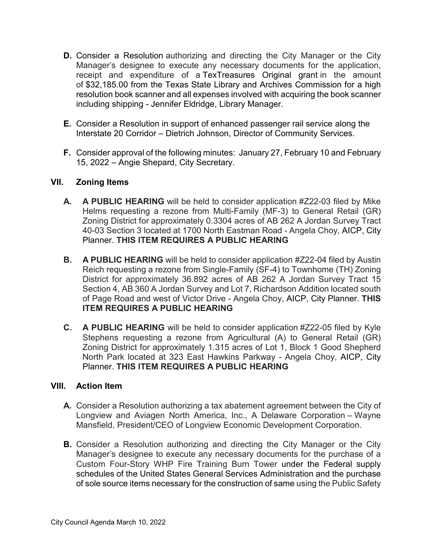- **D.** Consider a Resolution authorizing and directing the City Manager or the City Manager's designee to execute any necessary documents for the application, receipt and expenditure of a TexTreasures Original grant in the amount of \$32,185.00 from the Texas State Library and Archives Commission for a high resolution book scanner and all expenses involved with acquiring the book scanner including shipping - Jennifer Eldridge, Library Manager.
- **E.** Consider a Resolution in support of enhanced passenger rail service along the Interstate 20 Corridor – Dietrich Johnson, Director of Community Services.
- **F.** Consider approval of the following minutes: January 27, February 10 and February 15, 2022 – Angie Shepard, City Secretary.

## **VII. Zoning Items**

- **A. A PUBLIC HEARING** will be held to consider application #Z22-03 filed by Mike Helms requesting a rezone from Multi-Family (MF-3) to General Retail (GR) Zoning District for approximately 0.3304 acres of AB 262 A Jordan Survey Tract 40-03 Section 3 located at 1700 North Eastman Road - Angela Choy, AICP, City Planner. **THIS ITEM REQUIRES A PUBLIC HEARING**
- **B. A PUBLIC HEARING** will be held to consider application #Z22-04 filed by Austin Reich requesting a rezone from Single-Family (SF-4) to Townhome (TH) Zoning District for approximately 36.892 acres of AB 262 A Jordan Survey Tract 15 Section 4, AB 360 A Jordan Survey and Lot 7, Richardson Addition located south of Page Road and west of Victor Drive - Angela Choy, AICP, City Planner. **THIS ITEM REQUIRES A PUBLIC HEARING**
- **C. A PUBLIC HEARING** will be held to consider application #Z22-05 filed by Kyle Stephens requesting a rezone from Agricultural (A) to General Retail (GR) Zoning District for approximately 1.315 acres of Lot 1, Block 1 Good Shepherd North Park located at 323 East Hawkins Parkway - Angela Choy, AICP, City Planner. **THIS ITEM REQUIRES A PUBLIC HEARING**

## **VIII. Action Item**

- **A.** Consider a Resolution authorizing a tax abatement agreement between the City of Longview and Aviagen North America, Inc., A Delaware Corporation – Wayne Mansfield, President/CEO of Longview Economic Development Corporation.
- **B.** Consider a Resolution authorizing and directing the City Manager or the City Manager's designee to execute any necessary documents for the purchase of a Custom Four-Story WHP Fire Training Burn Tower under the Federal supply schedules of the United States General Services Administration and the purchase of sole source items necessary for the construction of same using the Public Safety